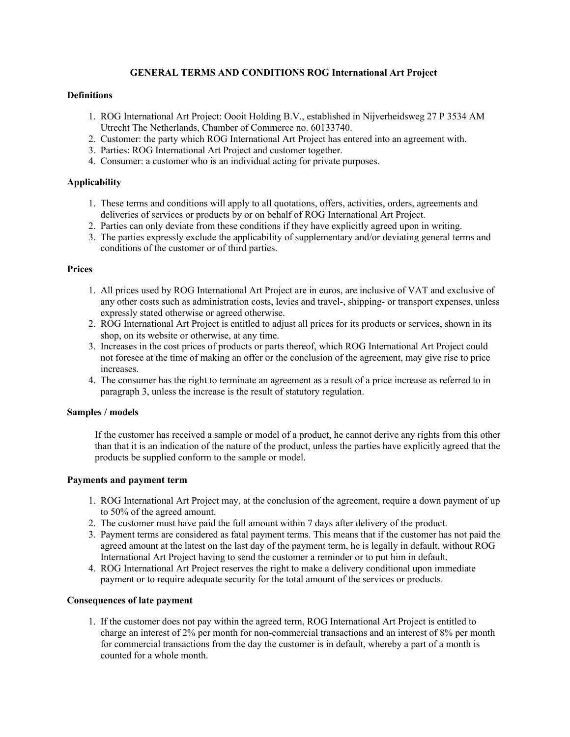# **GENERAL TERMS AND CONDITIONS ROG International Art Project**

# **Definitions**

- 1. ROG International Art Project: Oooit Holding B.V., established in Nijverheidsweg 27 P 3534 AM Utrecht The Netherlands, Chamber of Commerce no. 60133740.
- 2. Customer: the party which ROG International Art Project has entered into an agreement with.
- 3. Parties: ROG International Art Project and customer together.
- 4. Consumer: a customer who is an individual acting for private purposes.

# **Applicability**

- 1. These terms and conditions will apply to all quotations, offers, activities, orders, agreements and deliveries of services or products by or on behalf of ROG International Art Project.
- 2. Parties can only deviate from these conditions if they have explicitly agreed upon in writing.
- 3. The parties expressly exclude the applicability of supplementary and/or deviating general terms and conditions of the customer or of third parties.

### **Prices**

- 1. All prices used by ROG International Art Project are in euros, are inclusive of VAT and exclusive of any other costs such as administration costs, levies and travel-, shipping- or transport expenses, unless expressly stated otherwise or agreed otherwise.
- 2. ROG International Art Project is entitled to adjust all prices for its products or services, shown in its shop, on its website or otherwise, at any time.
- 3. Increases in the cost prices of products or parts thereof, which ROG International Art Project could not foresee at the time of making an offer or the conclusion of the agreement, may give rise to price increases.
- 4. The consumer has the right to terminate an agreement as a result of a price increase as referred to in paragraph 3, unless the increase is the result of statutory regulation.

### **Samples / models**

If the customer has received a sample or model of a product, he cannot derive any rights from this other than that it is an indication of the nature of the product, unless the parties have explicitly agreed that the products be supplied conform to the sample or model.

### **Payments and payment term**

- 1. ROG International Art Project may, at the conclusion of the agreement, require a down payment of up to 50% of the agreed amount.
- 2. The customer must have paid the full amount within 7 days after delivery of the product.
- 3. Payment terms are considered as fatal payment terms. This means that if the customer has not paid the agreed amount at the latest on the last day of the payment term, he is legally in default, without ROG International Art Project having to send the customer a reminder or to put him in default.
- 4. ROG International Art Project reserves the right to make a delivery conditional upon immediate payment or to require adequate security for the total amount of the services or products.

# **Consequences of late payment**

1. If the customer does not pay within the agreed term, ROG International Art Project is entitled to charge an interest of 2% per month for non-commercial transactions and an interest of 8% per month for commercial transactions from the day the customer is in default, whereby a part of a month is counted for a whole month.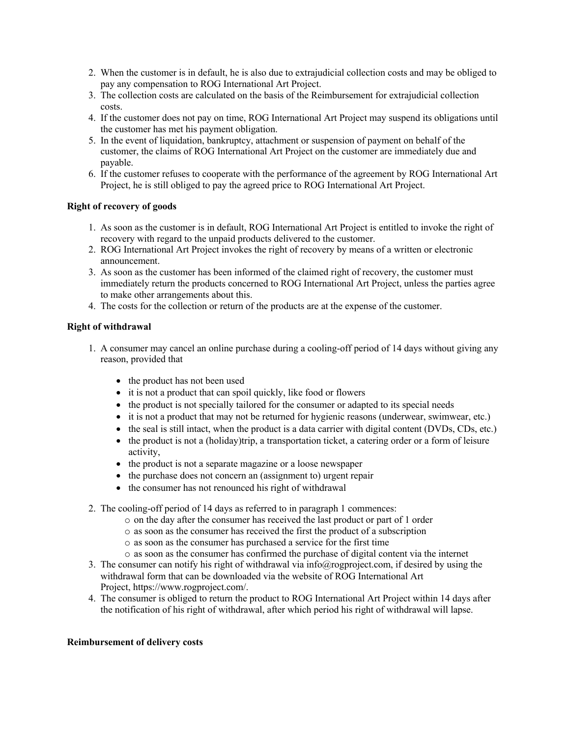- 2. When the customer is in default, he is also due to extrajudicial collection costs and may be obliged to pay any compensation to ROG International Art Project.
- 3. The collection costs are calculated on the basis of the Reimbursement for extrajudicial collection costs.
- 4. If the customer does not pay on time, ROG International Art Project may suspend its obligations until the customer has met his payment obligation.
- 5. In the event of liquidation, bankruptcy, attachment or suspension of payment on behalf of the customer, the claims of ROG International Art Project on the customer are immediately due and payable.
- 6. If the customer refuses to cooperate with the performance of the agreement by ROG International Art Project, he is still obliged to pay the agreed price to ROG International Art Project.

# **Right of recovery of goods**

- 1. As soon as the customer is in default, ROG International Art Project is entitled to invoke the right of recovery with regard to the unpaid products delivered to the customer.
- 2. ROG International Art Project invokes the right of recovery by means of a written or electronic announcement.
- 3. As soon as the customer has been informed of the claimed right of recovery, the customer must immediately return the products concerned to ROG International Art Project, unless the parties agree to make other arrangements about this.
- 4. The costs for the collection or return of the products are at the expense of the customer.

# **Right of withdrawal**

- 1. A consumer may cancel an online purchase during a cooling-off period of 14 days without giving any reason, provided that
	- the product has not been used
	- it is not a product that can spoil quickly, like food or flowers
	- the product is not specially tailored for the consumer or adapted to its special needs
	- it is not a product that may not be returned for hygienic reasons (underwear, swimwear, etc.)
	- the seal is still intact, when the product is a data carrier with digital content (DVDs, CDs, etc.)
	- the product is not a (holiday)trip, a transportation ticket, a catering order or a form of leisure activity,
	- the product is not a separate magazine or a loose newspaper
	- the purchase does not concern an (assignment to) urgent repair
	- the consumer has not renounced his right of withdrawal
- 2. The cooling-off period of 14 days as referred to in paragraph 1 commences:
	- o on the day after the consumer has received the last product or part of 1 order
	- o as soon as the consumer has received the first the product of a subscription
	- o as soon as the consumer has purchased a service for the first time
	- o as soon as the consumer has confirmed the purchase of digital content via the internet
- 3. The consumer can notify his right of withdrawal via info@rogproject.com, if desired by using the withdrawal form that can be downloaded via the website of ROG International Art Project, https://www.rogproject.com/.
- 4. The consumer is obliged to return the product to ROG International Art Project within 14 days after the notification of his right of withdrawal, after which period his right of withdrawal will lapse.

### **Reimbursement of delivery costs**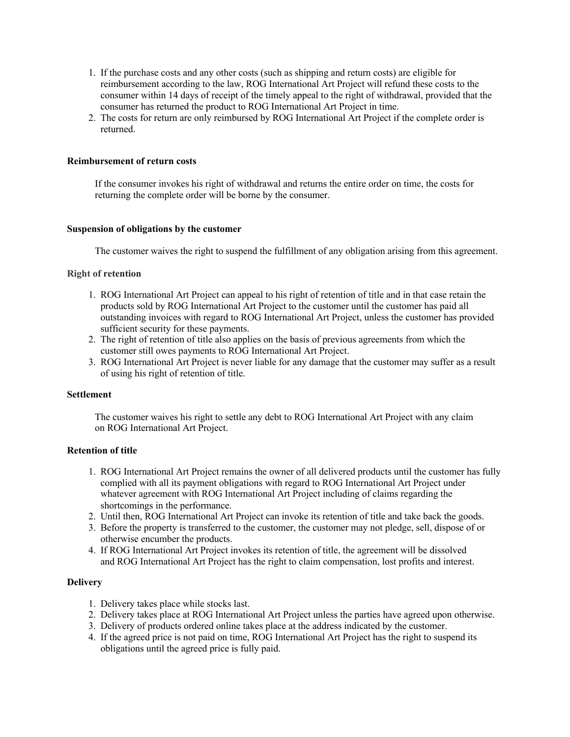- 1. If the purchase costs and any other costs (such as shipping and return costs) are eligible for reimbursement according to the law, ROG International Art Project will refund these costs to the consumer within 14 days of receipt of the timely appeal to the right of withdrawal, provided that the consumer has returned the product to ROG International Art Project in time.
- 2. The costs for return are only reimbursed by ROG International Art Project if the complete order is returned.

### **Reimbursement of return costs**

If the consumer invokes his right of withdrawal and returns the entire order on time, the costs for returning the complete order will be borne by the consumer.

### **Suspension of obligations by the customer**

The customer waives the right to suspend the fulfillment of any obligation arising from this agreement.

### **Right of retention**

- 1. ROG International Art Project can appeal to his right of retention of title and in that case retain the products sold by ROG International Art Project to the customer until the customer has paid all outstanding invoices with regard to ROG International Art Project, unless the customer has provided sufficient security for these payments.
- 2. The right of retention of title also applies on the basis of previous agreements from which the customer still owes payments to ROG International Art Project.
- 3. ROG International Art Project is never liable for any damage that the customer may suffer as a result of using his right of retention of title.

### **Settlement**

The customer waives his right to settle any debt to ROG International Art Project with any claim on ROG International Art Project.

# **Retention of title**

- 1. ROG International Art Project remains the owner of all delivered products until the customer has fully complied with all its payment obligations with regard to ROG International Art Project under whatever agreement with ROG International Art Project including of claims regarding the shortcomings in the performance.
- 2. Until then, ROG International Art Project can invoke its retention of title and take back the goods.
- 3. Before the property is transferred to the customer, the customer may not pledge, sell, dispose of or otherwise encumber the products.
- 4. If ROG International Art Project invokes its retention of title, the agreement will be dissolved and ROG International Art Project has the right to claim compensation, lost profits and interest.

### **Delivery**

- 1. Delivery takes place while stocks last.
- 2. Delivery takes place at ROG International Art Project unless the parties have agreed upon otherwise.
- 3. Delivery of products ordered online takes place at the address indicated by the customer.
- 4. If the agreed price is not paid on time, ROG International Art Project has the right to suspend its obligations until the agreed price is fully paid.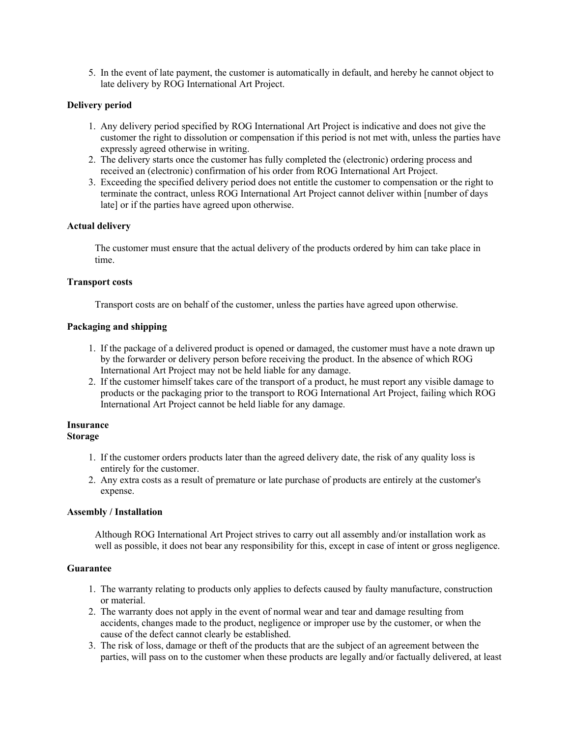5. In the event of late payment, the customer is automatically in default, and hereby he cannot object to late delivery by ROG International Art Project.

# **Delivery period**

- 1. Any delivery period specified by ROG International Art Project is indicative and does not give the customer the right to dissolution or compensation if this period is not met with, unless the parties have expressly agreed otherwise in writing.
- 2. The delivery starts once the customer has fully completed the (electronic) ordering process and received an (electronic) confirmation of his order from ROG International Art Project.
- 3. Exceeding the specified delivery period does not entitle the customer to compensation or the right to terminate the contract, unless ROG International Art Project cannot deliver within [number of days late] or if the parties have agreed upon otherwise.

# **Actual delivery**

The customer must ensure that the actual delivery of the products ordered by him can take place in time.

### **Transport costs**

Transport costs are on behalf of the customer, unless the parties have agreed upon otherwise.

# **Packaging and shipping**

- 1. If the package of a delivered product is opened or damaged, the customer must have a note drawn up by the forwarder or delivery person before receiving the product. In the absence of which ROG International Art Project may not be held liable for any damage.
- 2. If the customer himself takes care of the transport of a product, he must report any visible damage to products or the packaging prior to the transport to ROG International Art Project, failing which ROG International Art Project cannot be held liable for any damage.

# **Insurance**

# **Storage**

- 1. If the customer orders products later than the agreed delivery date, the risk of any quality loss is entirely for the customer.
- 2. Any extra costs as a result of premature or late purchase of products are entirely at the customer's expense.

### **Assembly / Installation**

Although ROG International Art Project strives to carry out all assembly and/or installation work as well as possible, it does not bear any responsibility for this, except in case of intent or gross negligence.

### **Guarantee**

- 1. The warranty relating to products only applies to defects caused by faulty manufacture, construction or material.
- 2. The warranty does not apply in the event of normal wear and tear and damage resulting from accidents, changes made to the product, negligence or improper use by the customer, or when the cause of the defect cannot clearly be established.
- 3. The risk of loss, damage or theft of the products that are the subject of an agreement between the parties, will pass on to the customer when these products are legally and/or factually delivered, at least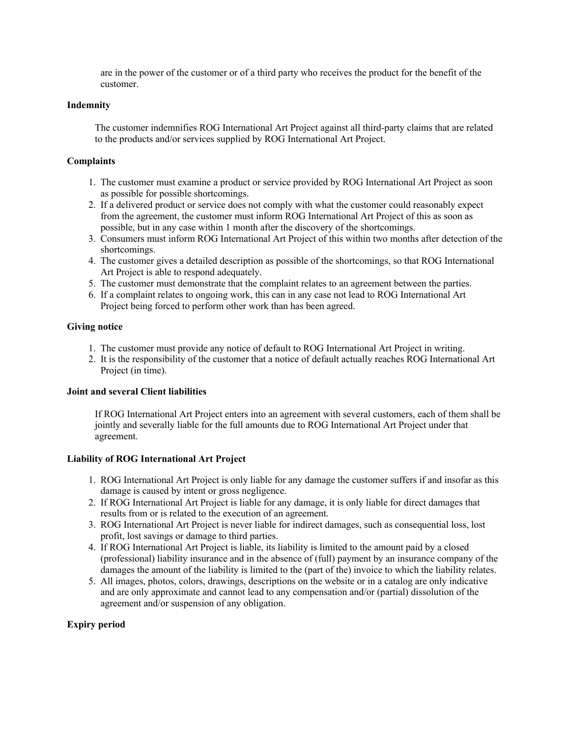are in the power of the customer or of a third party who receives the product for the benefit of the customer.

# **Indemnity**

The customer indemnifies ROG International Art Project against all third-party claims that are related to the products and/or services supplied by ROG International Art Project.

# **Complaints**

- 1. The customer must examine a product or service provided by ROG International Art Project as soon as possible for possible shortcomings.
- 2. If a delivered product or service does not comply with what the customer could reasonably expect from the agreement, the customer must inform ROG International Art Project of this as soon as possible, but in any case within 1 month after the discovery of the shortcomings.
- 3. Consumers must inform ROG International Art Project of this within two months after detection of the shortcomings.
- 4. The customer gives a detailed description as possible of the shortcomings, so that ROG International Art Project is able to respond adequately.
- 5. The customer must demonstrate that the complaint relates to an agreement between the parties.
- 6. If a complaint relates to ongoing work, this can in any case not lead to ROG International Art Project being forced to perform other work than has been agreed.

# **Giving notice**

- 1. The customer must provide any notice of default to ROG International Art Project in writing.
- 2. It is the responsibility of the customer that a notice of default actually reaches ROG International Art Project (in time).

# **Joint and several Client liabilities**

If ROG International Art Project enters into an agreement with several customers, each of them shall be jointly and severally liable for the full amounts due to ROG International Art Project under that agreement.

# **Liability of ROG International Art Project**

- 1. ROG International Art Project is only liable for any damage the customer suffers if and insofar as this damage is caused by intent or gross negligence.
- 2. If ROG International Art Project is liable for any damage, it is only liable for direct damages that results from or is related to the execution of an agreement.
- 3. ROG International Art Project is never liable for indirect damages, such as consequential loss, lost profit, lost savings or damage to third parties.
- 4. If ROG International Art Project is liable, its liability is limited to the amount paid by a closed (professional) liability insurance and in the absence of (full) payment by an insurance company of the damages the amount of the liability is limited to the (part of the) invoice to which the liability relates.
- 5. All images, photos, colors, drawings, descriptions on the website or in a catalog are only indicative and are only approximate and cannot lead to any compensation and/or (partial) dissolution of the agreement and/or suspension of any obligation.

# **Expiry period**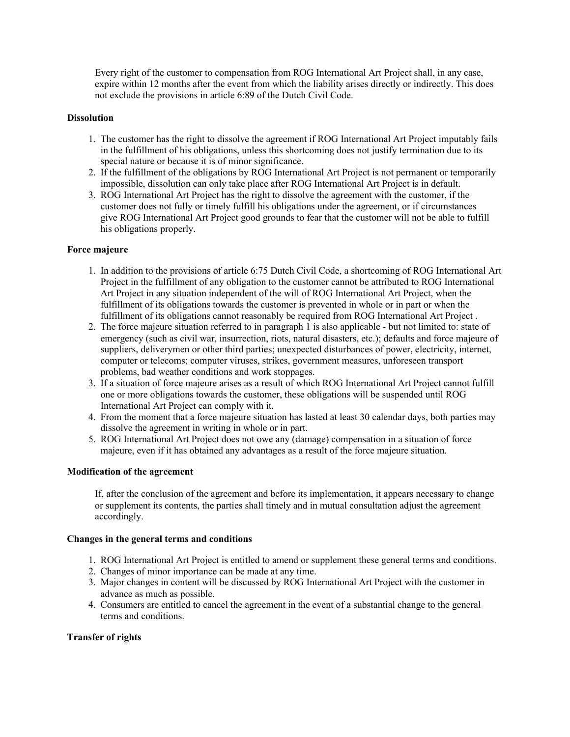Every right of the customer to compensation from ROG International Art Project shall, in any case, expire within 12 months after the event from which the liability arises directly or indirectly. This does not exclude the provisions in article 6:89 of the Dutch Civil Code.

## **Dissolution**

- 1. The customer has the right to dissolve the agreement if ROG International Art Project imputably fails in the fulfillment of his obligations, unless this shortcoming does not justify termination due to its special nature or because it is of minor significance.
- 2. If the fulfillment of the obligations by ROG International Art Project is not permanent or temporarily impossible, dissolution can only take place after ROG International Art Project is in default.
- 3. ROG International Art Project has the right to dissolve the agreement with the customer, if the customer does not fully or timely fulfill his obligations under the agreement, or if circumstances give ROG International Art Project good grounds to fear that the customer will not be able to fulfill his obligations properly.

# **Force majeure**

- 1. In addition to the provisions of article 6:75 Dutch Civil Code, a shortcoming of ROG International Art Project in the fulfillment of any obligation to the customer cannot be attributed to ROG International Art Project in any situation independent of the will of ROG International Art Project, when the fulfillment of its obligations towards the customer is prevented in whole or in part or when the fulfillment of its obligations cannot reasonably be required from ROG International Art Project .
- 2. The force majeure situation referred to in paragraph 1 is also applicable but not limited to: state of emergency (such as civil war, insurrection, riots, natural disasters, etc.); defaults and force majeure of suppliers, deliverymen or other third parties; unexpected disturbances of power, electricity, internet, computer or telecoms; computer viruses, strikes, government measures, unforeseen transport problems, bad weather conditions and work stoppages.
- 3. If a situation of force majeure arises as a result of which ROG International Art Project cannot fulfill one or more obligations towards the customer, these obligations will be suspended until ROG International Art Project can comply with it.
- 4. From the moment that a force majeure situation has lasted at least 30 calendar days, both parties may dissolve the agreement in writing in whole or in part.
- 5. ROG International Art Project does not owe any (damage) compensation in a situation of force majeure, even if it has obtained any advantages as a result of the force majeure situation.

### **Modification of the agreement**

If, after the conclusion of the agreement and before its implementation, it appears necessary to change or supplement its contents, the parties shall timely and in mutual consultation adjust the agreement accordingly.

### **Changes in the general terms and conditions**

- 1. ROG International Art Project is entitled to amend or supplement these general terms and conditions.
- 2. Changes of minor importance can be made at any time.
- 3. Major changes in content will be discussed by ROG International Art Project with the customer in advance as much as possible.
- 4. Consumers are entitled to cancel the agreement in the event of a substantial change to the general terms and conditions.

# **Transfer of rights**